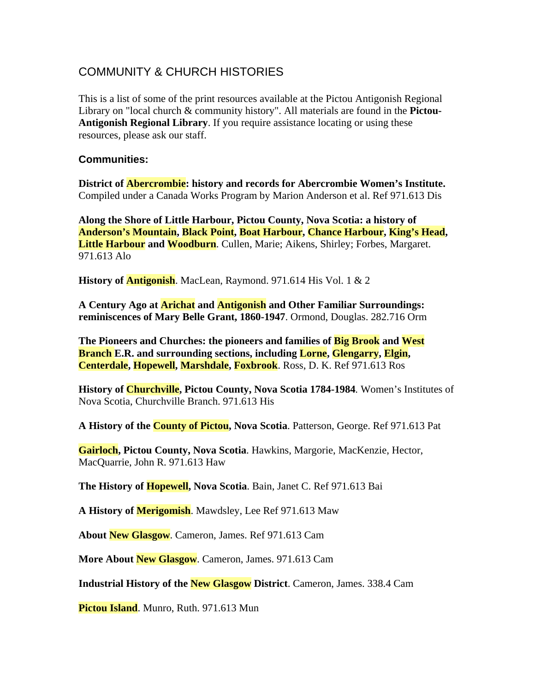## COMMUNITY & CHURCH HISTORIES

This is a list of some of the print resources available at the Pictou Antigonish Regional Library on "local church & community history". All materials are found in the **Pictou-Antigonish Regional Library**. If you require assistance locating or using these resources, please ask our staff.

## **Communities:**

**District of Abercrombie: history and records for Abercrombie Women's Institute.** Compiled under a Canada Works Program by Marion Anderson et al. Ref 971.613 Dis

**Along the Shore of Little Harbour, Pictou County, Nova Scotia: a history of Anderson's Mountain, Black Point, Boat Harbour, Chance Harbour, King's Head, Little Harbour and Woodburn**. Cullen, Marie; Aikens, Shirley; Forbes, Margaret. 971.613 Alo

**History of Antigonish**. MacLean, Raymond. 971.614 His Vol. 1 & 2

**A Century Ago at Arichat and Antigonish and Other Familiar Surroundings: reminiscences of Mary Belle Grant, 1860-1947**. Ormond, Douglas. 282.716 Orm

**The Pioneers and Churches: the pioneers and families of Big Brook and West Branch E.R. and surrounding sections, including Lorne, Glengarry, Elgin, Centerdale, Hopewell, Marshdale, Foxbrook**. Ross, D. K. Ref 971.613 Ros

**History of Churchville, Pictou County, Nova Scotia 1784-1984***.* Women's Institutes of Nova Scotia, Churchville Branch. 971.613 His

**A History of the County of Pictou, Nova Scotia**. Patterson, George. Ref 971.613 Pat

**Gairloch, Pictou County, Nova Scotia**. Hawkins, Margorie, MacKenzie, Hector, MacQuarrie, John R. 971.613 Haw

**The History of Hopewell, Nova Scotia**. Bain, Janet C. Ref 971.613 Bai

**A History of Merigomish**. Mawdsley, Lee Ref 971.613 Maw

**About New Glasgow**. Cameron, James. Ref 971.613 Cam

**More About New Glasgow**. Cameron, James. 971.613 Cam

**Industrial History of the New Glasgow District**. Cameron, James. 338.4 Cam

**Pictou Island**. Munro, Ruth. 971.613 Mun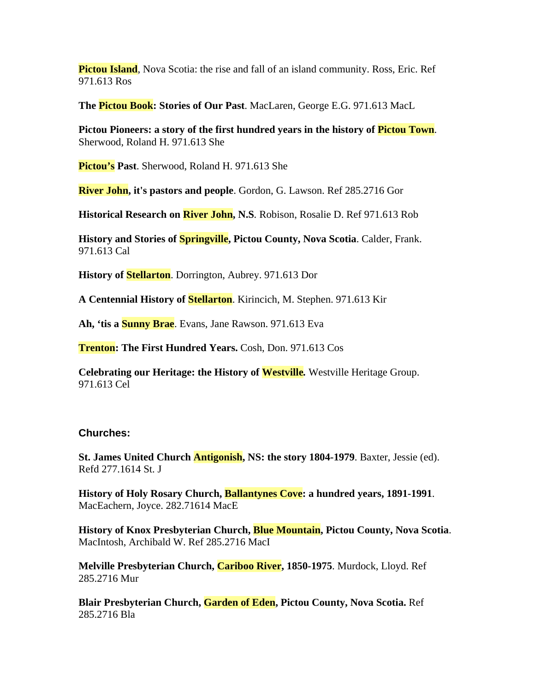**Pictou Island**, Nova Scotia: the rise and fall of an island community. Ross, Eric. Ref 971.613 Ros

**The Pictou Book: Stories of Our Past**. MacLaren, George E.G. 971.613 MacL

**Pictou Pioneers: a story of the first hundred years in the history of Pictou Town**. Sherwood, Roland H. 971.613 She

**Pictou's Past**. Sherwood, Roland H. 971.613 She

**River John, it's pastors and people**. Gordon, G. Lawson. Ref 285.2716 Gor

**Historical Research on River John, N.S***.* Robison, Rosalie D. Ref 971.613 Rob

**History and Stories of Springville, Pictou County, Nova Scotia**. Calder, Frank. 971.613 Cal

**History of Stellarton**. Dorrington, Aubrey. 971.613 Dor

**A Centennial History of Stellarton**. Kirincich, M. Stephen. 971.613 Kir

**Ah, 'tis a Sunny Brae**. Evans, Jane Rawson. 971.613 Eva

**Trenton: The First Hundred Years.** Cosh, Don. 971.613 Cos

**Celebrating our Heritage: the History of Westville***.* Westville Heritage Group. 971.613 Cel

## **Churches:**

**St. James United Church Antigonish, NS: the story 1804-1979**. Baxter, Jessie (ed). Refd 277.1614 St. J

**History of Holy Rosary Church, Ballantynes Cove: a hundred years, 1891-1991**. MacEachern, Joyce. 282.71614 MacE

**History of Knox Presbyterian Church, Blue Mountain, Pictou County, Nova Scotia**. MacIntosh, Archibald W. Ref 285.2716 MacI

**Melville Presbyterian Church, Cariboo River, 1850-1975**. Murdock, Lloyd. Ref 285.2716 Mur

**Blair Presbyterian Church, Garden of Eden, Pictou County, Nova Scotia.** Ref 285.2716 Bla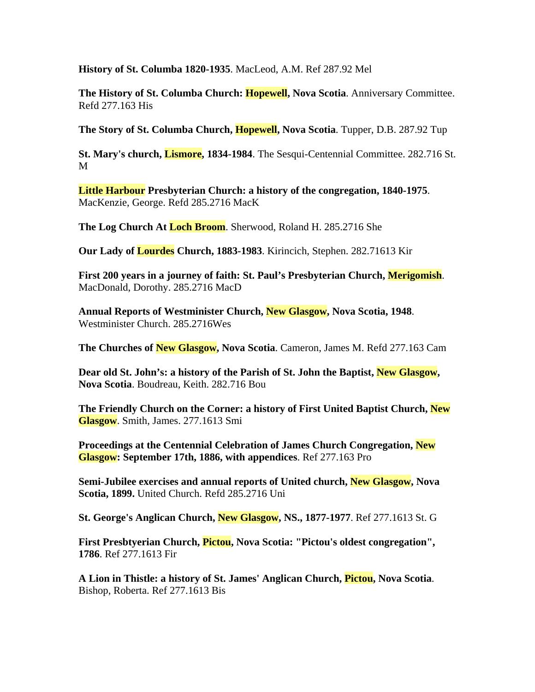**History of St. Columba 1820-1935**. MacLeod, A.M. Ref 287.92 Mel

**The History of St. Columba Church: Hopewell, Nova Scotia**. Anniversary Committee. Refd 277.163 His

**The Story of St. Columba Church, Hopewell, Nova Scotia**. Tupper, D.B. 287.92 Tup

**St. Mary's church, Lismore, 1834-1984**. The Sesqui-Centennial Committee. 282.716 St. M

**Little Harbour Presbyterian Church: a history of the congregation, 1840-1975**. MacKenzie, George. Refd 285.2716 MacK

**The Log Church At Loch Broom**. Sherwood, Roland H. 285.2716 She

**Our Lady of Lourdes Church, 1883-1983**. Kirincich, Stephen. 282.71613 Kir

**First 200 years in a journey of faith: St. Paul's Presbyterian Church, Merigomish**. MacDonald, Dorothy. 285.2716 MacD

**Annual Reports of Westminister Church, New Glasgow, Nova Scotia, 1948**. Westminister Church. 285.2716Wes

**The Churches of New Glasgow, Nova Scotia**. Cameron, James M. Refd 277.163 Cam

**Dear old St. John's: a history of the Parish of St. John the Baptist, New Glasgow, Nova Scotia**. Boudreau, Keith. 282.716 Bou

**The Friendly Church on the Corner: a history of First United Baptist Church, New Glasgow**. Smith, James. 277.1613 Smi

**Proceedings at the Centennial Celebration of James Church Congregation, New Glasgow: September 17th, 1886, with appendices**. Ref 277.163 Pro

**Semi-Jubilee exercises and annual reports of United church, New Glasgow, Nova Scotia, 1899.** United Church. Refd 285.2716 Uni

**St. George's Anglican Church, New Glasgow, NS., 1877-1977**. Ref 277.1613 St. G

**First Presbtyerian Church, Pictou, Nova Scotia: "Pictou's oldest congregation", 1786**. Ref 277.1613 Fir

**A Lion in Thistle: a history of St. James' Anglican Church, Pictou, Nova Scotia**. Bishop, Roberta. Ref 277.1613 Bis